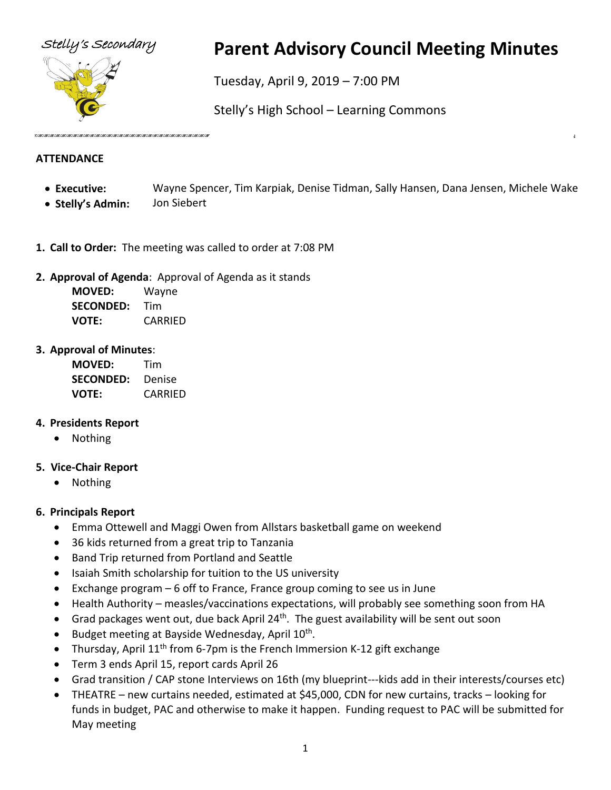

# Stelly's Secondary **Parent Advisory Council Meeting Minutes**

Tuesday, April 9, 2019 – 7:00 PM

Stelly's High School – Learning Commons

#### **ATTENDANCE**

- **Executive:** Wayne Spencer, Tim Karpiak, Denise Tidman, Sally Hansen, Dana Jensen, Michele Wake
- **Stelly's Admin:** Jon Siebert
- **1. Call to Order:** The meeting was called to order at 7:08 PM
- **2. Approval of Agenda**: Approval of Agenda as it stands

**MOVED:** Wayne **SECONDED:** Tim **VOTE:** CARRIED

#### **3. Approval of Minutes**:

| <b>MOVED:</b>    | Tim     |
|------------------|---------|
| <b>SECONDED:</b> | Denise  |
| <b>VOTE:</b>     | CARRIED |

#### **4. Presidents Report**

• Nothing

#### **5. Vice-Chair Report**

• Nothing

### **6. Principals Report**

- Emma Ottewell and Maggi Owen from Allstars basketball game on weekend
- 36 kids returned from a great trip to Tanzania
- Band Trip returned from Portland and Seattle
- Isaiah Smith scholarship for tuition to the US university
- Exchange program 6 off to France, France group coming to see us in June
- Health Authority measles/vaccinations expectations, will probably see something soon from HA
- Grad packages went out, due back April 24<sup>th</sup>. The guest availability will be sent out soon
- Budget meeting at Bayside Wednesday, April 10<sup>th</sup>.
- Thursday, April  $11<sup>th</sup>$  from 6-7pm is the French Immersion K-12 gift exchange
- Term 3 ends April 15, report cards April 26
- Grad transition / CAP stone Interviews on 16th (my blueprint---kids add in their interests/courses etc)
- THEATRE new curtains needed, estimated at \$45,000, CDN for new curtains, tracks looking for funds in budget, PAC and otherwise to make it happen. Funding request to PAC will be submitted for May meeting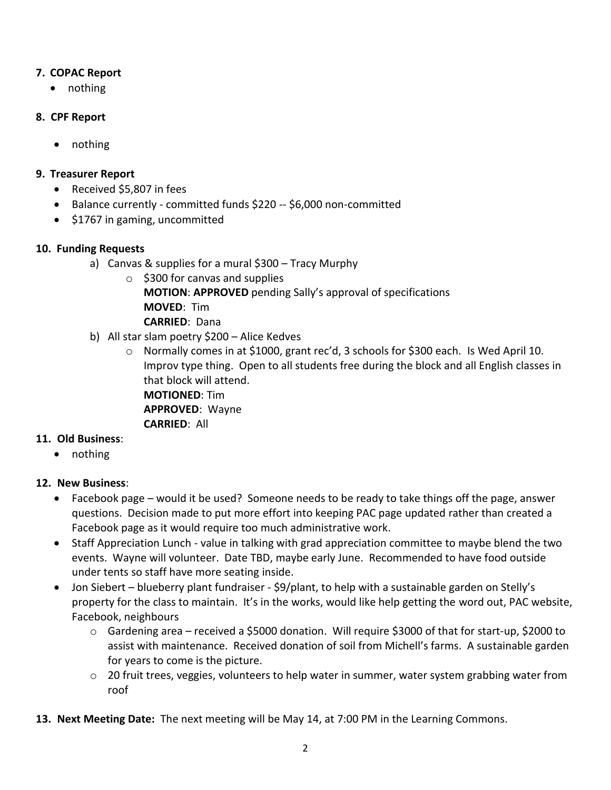#### **7. COPAC Report**

• nothing

#### **8. CPF Report**

• nothing

#### **9. Treasurer Report**

- Received \$5,807 in fees
- Balance currently committed funds \$220 -- \$6,000 non-committed
- \$1767 in gaming, uncommitted

#### **10. Funding Requests**

- a) Canvas & supplies for a mural \$300 Tracy Murphy
	- $\circ$  \$300 for canvas and supplies **MOTION**: **APPROVED** pending Sally's approval of specifications **MOVED**: Tim **CARRIED**: Dana
- b) All star slam poetry \$200 Alice Kedves
	- o Normally comes in at \$1000, grant rec'd, 3 schools for \$300 each. Is Wed April 10. Improv type thing. Open to all students free during the block and all English classes in that block will attend. **MOTIONED**: Tim **APPROVED**: Wayne **CARRIED**: All

#### **11. Old Business**:

• nothing

#### **12. New Business**:

- Facebook page would it be used? Someone needs to be ready to take things off the page, answer questions. Decision made to put more effort into keeping PAC page updated rather than created a Facebook page as it would require too much administrative work.
- Staff Appreciation Lunch value in talking with grad appreciation committee to maybe blend the two events. Wayne will volunteer. Date TBD, maybe early June. Recommended to have food outside under tents so staff have more seating inside.
- Jon Siebert blueberry plant fundraiser \$9/plant, to help with a sustainable garden on Stelly's property for the class to maintain. It's in the works, would like help getting the word out, PAC website, Facebook, neighbours
	- $\circ$  Gardening area received a \$5000 donation. Will require \$3000 of that for start-up, \$2000 to assist with maintenance. Received donation of soil from Michell's farms. A sustainable garden for years to come is the picture.
	- o 20 fruit trees, veggies, volunteers to help water in summer, water system grabbing water from roof
- **13. Next Meeting Date:** The next meeting will be May 14, at 7:00 PM in the Learning Commons.